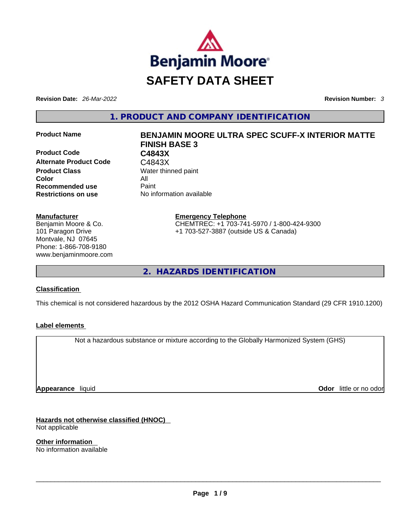

**Revision Date:** *26-Mar-2022* **Revision Number:** *3*

**1. PRODUCT AND COMPANY IDENTIFICATION** 

**Product Code C4843X**  Alternate Product Code **C4843X Product Class Water thinned paint Color** All **Recommended use Paint Restrictions on use** No information available

#### **Manufacturer**

Benjamin Moore & Co. 101 Paragon Drive Montvale, NJ 07645 Phone: 1-866-708-9180 www.benjaminmoore.com

# **Product Name BENJAMIN MOORE ULTRA SPEC SCUFF-X INTERIOR MATTE FINISH BASE 3**

**Emergency Telephone** CHEMTREC: +1 703-741-5970 / 1-800-424-9300 +1 703-527-3887 (outside US & Canada)

**2. HAZARDS IDENTIFICATION** 

# **Classification**

This chemical is not considered hazardous by the 2012 OSHA Hazard Communication Standard (29 CFR 1910.1200)

# **Label elements**

Not a hazardous substance or mixture according to the Globally Harmonized System (GHS)

**Appearance** liquid

**Odor** little or no odor

**Hazards not otherwise classified (HNOC)**  Not applicable

**Other information**  No information available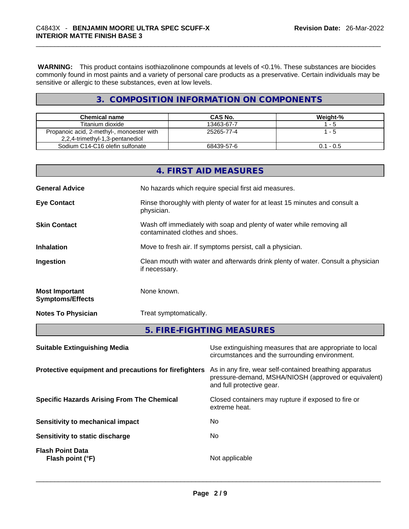**WARNING:** This product contains isothiazolinone compounds at levels of <0.1%. These substances are biocides commonly found in most paints and a variety of personal care products as a preservative. Certain individuals may be sensitive or allergic to these substances, even at low levels.

# **3. COMPOSITION INFORMATION ON COMPONENTS**

| <b>Chemical name</b>                                                         | CAS No.    | Weight-%    |
|------------------------------------------------------------------------------|------------|-------------|
| Titanium dioxide                                                             | 13463-67-7 | - 5         |
| Propanoic acid, 2-methyl-, monoester with<br>2,2,4-trimethyl-1,3-pentanediol | 25265-77-4 | -5          |
| Sodium C14-C16 olefin sulfonate                                              | 68439-57-6 | $0.1 - 0.5$ |

|                                                  | if necessary.                                            |
|--------------------------------------------------|----------------------------------------------------------|
| <b>Most Important</b><br><b>Symptoms/Effects</b> | None known.                                              |
| <b>Notes To Physician</b>                        | Treat symptomatically.                                   |
|                                                  | 5. FIRE-FIGHTING MEASURES                                |
| <b>Suitable Extinguishing Media</b>              | Use extinguishing measures that are appropriate to local |

|                                                       | circumstances and the surrounding environment.                                                                                               |
|-------------------------------------------------------|----------------------------------------------------------------------------------------------------------------------------------------------|
| Protective equipment and precautions for firefighters | As in any fire, wear self-contained breathing apparatus<br>pressure-demand, MSHA/NIOSH (approved or equivalent)<br>and full protective gear. |
| <b>Specific Hazards Arising From The Chemical</b>     | Closed containers may rupture if exposed to fire or<br>extreme heat.                                                                         |
| Sensitivity to mechanical impact                      | No                                                                                                                                           |
| Sensitivity to static discharge                       | No.                                                                                                                                          |
| <b>Flash Point Data</b><br>Flash point (°F)           | Not applicable                                                                                                                               |
|                                                       |                                                                                                                                              |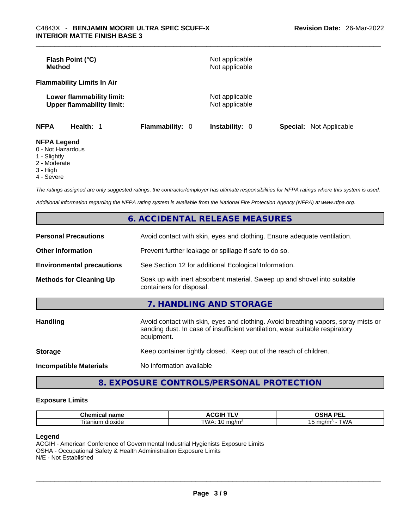| <b>Method</b>                           | Flash Point (°C)                                              |                        | Not applicable<br>Not applicable |                                |
|-----------------------------------------|---------------------------------------------------------------|------------------------|----------------------------------|--------------------------------|
|                                         | <b>Flammability Limits In Air</b>                             |                        |                                  |                                |
|                                         | Lower flammability limit:<br><b>Upper flammability limit:</b> |                        | Not applicable<br>Not applicable |                                |
| <b>NFPA</b>                             | Health: 1                                                     | <b>Flammability: 0</b> | <b>Instability: 0</b>            | <b>Special:</b> Not Applicable |
| <b>NFPA Legend</b><br>$0$ Not Horordoug |                                                               |                        |                                  |                                |

- 0 Not Hazardous
- 1 Slightly
- 2 Moderate
- 3 High
- 4 Severe

*The ratings assigned are only suggested ratings, the contractor/employer has ultimate responsibilities for NFPA ratings where this system is used.* 

*Additional information regarding the NFPA rating system is available from the National Fire Protection Agency (NFPA) at www.nfpa.org.* 

|                                  | <b>6. ACCIDENTAL RELEASE MEASURES</b>                                                                                                                                            |
|----------------------------------|----------------------------------------------------------------------------------------------------------------------------------------------------------------------------------|
| <b>Personal Precautions</b>      | Avoid contact with skin, eyes and clothing. Ensure adequate ventilation.                                                                                                         |
| <b>Other Information</b>         | Prevent further leakage or spillage if safe to do so.                                                                                                                            |
| <b>Environmental precautions</b> | See Section 12 for additional Ecological Information.                                                                                                                            |
| <b>Methods for Cleaning Up</b>   | Soak up with inert absorbent material. Sweep up and shovel into suitable<br>containers for disposal.                                                                             |
|                                  | 7. HANDLING AND STORAGE                                                                                                                                                          |
| <b>Handling</b>                  | Avoid contact with skin, eyes and clothing. Avoid breathing vapors, spray mists or<br>sanding dust. In case of insufficient ventilation, wear suitable respiratory<br>equipment. |
| <b>Storage</b>                   | Keep container tightly closed. Keep out of the reach of children.                                                                                                                |
| <b>Incompatible Materials</b>    | No information available                                                                                                                                                         |
|                                  |                                                                                                                                                                                  |

# **8. EXPOSURE CONTROLS/PERSONAL PROTECTION**

#### **Exposure Limits**

| $  -$<br>------<br>шьаг<br>панк                  | . .                | <b>DEI</b><br>$\mathbf{r}$<br>-- |
|--------------------------------------------------|--------------------|----------------------------------|
| --<br>∣ita<br>$\sim$<br>≧ dioxide<br>יי<br>,,,,, | TWA.<br>171<br>. . | ' WL                             |

#### **Legend**

ACGIH - American Conference of Governmental Industrial Hygienists Exposure Limits OSHA - Occupational Safety & Health Administration Exposure Limits N/E - Not Established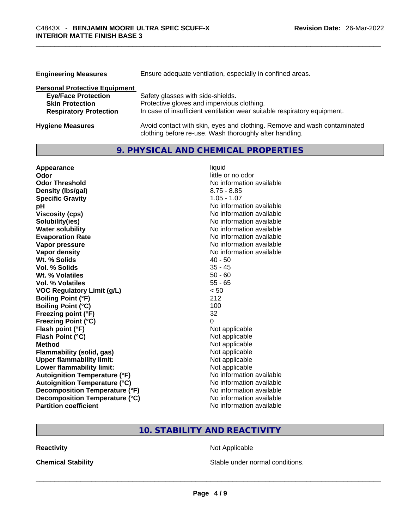| <b>Engineering Measures</b>          | Ensure adequate ventilation, especially in confined areas.                                                                          |
|--------------------------------------|-------------------------------------------------------------------------------------------------------------------------------------|
| <b>Personal Protective Equipment</b> |                                                                                                                                     |
| <b>Eye/Face Protection</b>           | Safety glasses with side-shields.                                                                                                   |
| <b>Skin Protection</b>               | Protective gloves and impervious clothing.                                                                                          |
| <b>Respiratory Protection</b>        | In case of insufficient ventilation wear suitable respiratory equipment.                                                            |
| <b>Hygiene Measures</b>              | Avoid contact with skin, eyes and clothing. Remove and wash contaminated<br>clothing before re-use. Wash thoroughly after handling. |

# **9. PHYSICAL AND CHEMICAL PROPERTIES**

| Appearance                           | liquid                   |
|--------------------------------------|--------------------------|
| Odor                                 | little or no odor        |
| <b>Odor Threshold</b>                | No information available |
| Density (Ibs/gal)                    | $8.75 - 8.85$            |
| <b>Specific Gravity</b>              | $1.05 - 1.07$            |
| рH                                   | No information available |
| <b>Viscosity (cps)</b>               | No information available |
| Solubility(ies)                      | No information available |
| <b>Water solubility</b>              | No information available |
| <b>Evaporation Rate</b>              | No information available |
| Vapor pressure                       | No information available |
| <b>Vapor density</b>                 | No information available |
| Wt. % Solids                         | $40 - 50$                |
| Vol. % Solids                        | $35 - 45$                |
| Wt. % Volatiles                      | $50 - 60$                |
| Vol. % Volatiles                     | $55 - 65$                |
| <b>VOC Regulatory Limit (g/L)</b>    | < 50                     |
| <b>Boiling Point (°F)</b>            | 212                      |
| <b>Boiling Point (°C)</b>            | 100                      |
| Freezing point (°F)                  | 32                       |
| <b>Freezing Point (°C)</b>           | 0                        |
| Flash point (°F)                     | Not applicable           |
| Flash Point (°C)                     | Not applicable           |
| <b>Method</b>                        | Not applicable           |
| <b>Flammability (solid, gas)</b>     | Not applicable           |
| <b>Upper flammability limit:</b>     | Not applicable           |
| Lower flammability limit:            | Not applicable           |
| <b>Autoignition Temperature (°F)</b> | No information available |
| <b>Autoignition Temperature (°C)</b> | No information available |
| Decomposition Temperature (°F)       | No information available |
| Decomposition Temperature (°C)       | No information available |
| <b>Partition coefficient</b>         | No information available |

# **10. STABILITY AND REACTIVITY**

**Reactivity Not Applicable Not Applicable** 

**Chemical Stability Stable under normal conditions.** Stable under normal conditions.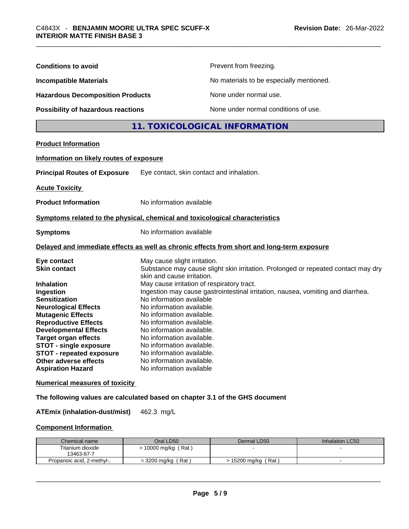| <b>Conditions to avoid</b>                                                                                                                                                                                                                                                                                                |                                                                                                                                                                                                                                                                                                                                                 | Prevent from freezing.                                                                                                                                               |                 |
|---------------------------------------------------------------------------------------------------------------------------------------------------------------------------------------------------------------------------------------------------------------------------------------------------------------------------|-------------------------------------------------------------------------------------------------------------------------------------------------------------------------------------------------------------------------------------------------------------------------------------------------------------------------------------------------|----------------------------------------------------------------------------------------------------------------------------------------------------------------------|-----------------|
| <b>Incompatible Materials</b>                                                                                                                                                                                                                                                                                             |                                                                                                                                                                                                                                                                                                                                                 | No materials to be especially mentioned.                                                                                                                             |                 |
| <b>Hazardous Decomposition Products</b>                                                                                                                                                                                                                                                                                   |                                                                                                                                                                                                                                                                                                                                                 | None under normal use.                                                                                                                                               |                 |
| Possibility of hazardous reactions                                                                                                                                                                                                                                                                                        |                                                                                                                                                                                                                                                                                                                                                 | None under normal conditions of use.                                                                                                                                 |                 |
|                                                                                                                                                                                                                                                                                                                           |                                                                                                                                                                                                                                                                                                                                                 | 11. TOXICOLOGICAL INFORMATION                                                                                                                                        |                 |
| <b>Product Information</b>                                                                                                                                                                                                                                                                                                |                                                                                                                                                                                                                                                                                                                                                 |                                                                                                                                                                      |                 |
| Information on likely routes of exposure                                                                                                                                                                                                                                                                                  |                                                                                                                                                                                                                                                                                                                                                 |                                                                                                                                                                      |                 |
| <b>Principal Routes of Exposure</b>                                                                                                                                                                                                                                                                                       | Eye contact, skin contact and inhalation.                                                                                                                                                                                                                                                                                                       |                                                                                                                                                                      |                 |
| <b>Acute Toxicity</b>                                                                                                                                                                                                                                                                                                     |                                                                                                                                                                                                                                                                                                                                                 |                                                                                                                                                                      |                 |
| <b>Product Information</b>                                                                                                                                                                                                                                                                                                | No information available                                                                                                                                                                                                                                                                                                                        |                                                                                                                                                                      |                 |
| Symptoms related to the physical, chemical and toxicological characteristics                                                                                                                                                                                                                                              |                                                                                                                                                                                                                                                                                                                                                 |                                                                                                                                                                      |                 |
| <b>Symptoms</b>                                                                                                                                                                                                                                                                                                           | No information available                                                                                                                                                                                                                                                                                                                        |                                                                                                                                                                      |                 |
| Delayed and immediate effects as well as chronic effects from short and long-term exposure                                                                                                                                                                                                                                |                                                                                                                                                                                                                                                                                                                                                 |                                                                                                                                                                      |                 |
| Eye contact<br><b>Skin contact</b><br><b>Inhalation</b><br>Ingestion<br><b>Sensitization</b><br><b>Neurological Effects</b><br><b>Mutagenic Effects</b><br><b>Reproductive Effects</b><br><b>Developmental Effects</b><br><b>Target organ effects</b><br><b>STOT - single exposure</b><br><b>STOT - repeated exposure</b> | May cause slight irritation.<br>skin and cause irritation.<br>May cause irritation of respiratory tract.<br>No information available<br>No information available.<br>No information available.<br>No information available.<br>No information available.<br>No information available.<br>No information available.<br>No information available. | Substance may cause slight skin irritation. Prolonged or repeated contact may dry<br>Ingestion may cause gastrointestinal irritation, nausea, vomiting and diarrhea. |                 |
| Other adverse effects<br><b>Aspiration Hazard</b>                                                                                                                                                                                                                                                                         | No information available.<br>No information available                                                                                                                                                                                                                                                                                           |                                                                                                                                                                      |                 |
| <b>Numerical measures of toxicity</b>                                                                                                                                                                                                                                                                                     |                                                                                                                                                                                                                                                                                                                                                 |                                                                                                                                                                      |                 |
| The following values are calculated based on chapter 3.1 of the GHS document                                                                                                                                                                                                                                              |                                                                                                                                                                                                                                                                                                                                                 |                                                                                                                                                                      |                 |
| <b>ATEmix (inhalation-dust/mist)</b>                                                                                                                                                                                                                                                                                      | 462.3 mg/L                                                                                                                                                                                                                                                                                                                                      |                                                                                                                                                                      |                 |
| <b>Component Information</b>                                                                                                                                                                                                                                                                                              |                                                                                                                                                                                                                                                                                                                                                 |                                                                                                                                                                      |                 |
| Chemical name                                                                                                                                                                                                                                                                                                             | Oral LD50                                                                                                                                                                                                                                                                                                                                       | Dermal LD50                                                                                                                                                          | Inhalation LC50 |

| Chemical name              | Oral LD50             | Dermal LD50           | Inhalation LC50 |
|----------------------------|-----------------------|-----------------------|-----------------|
| Titanium dioxide           | 10000 mg/kg (Rat)     |                       |                 |
| 13463-67-7                 |                       |                       |                 |
| Propanoic acid, 2-methyl-, | = 3200 mg/kg<br>Rat ) | , 15200 mg/kg<br>(Rat |                 |
|                            |                       |                       |                 |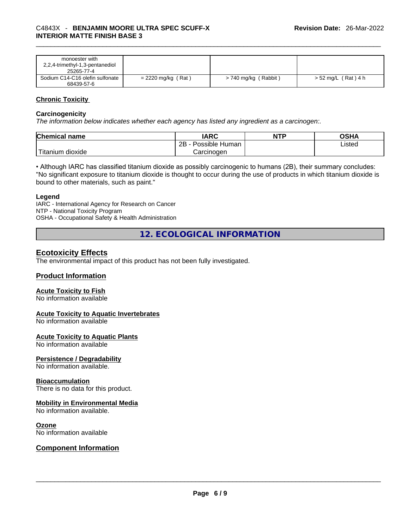| monoester with                  |                      |                      |                    |
|---------------------------------|----------------------|----------------------|--------------------|
| 2,2,4-trimethyl-1,3-pentanediol |                      |                      |                    |
| 25265-77-4                      |                      |                      |                    |
| Sodium C14-C16 olefin sulfonate | $= 2220$ mg/kg (Rat) | > 740 mg/kg (Rabbit) | > 52 mg/L (Rat)4 h |
| 68439-57-6                      |                      |                      |                    |

# **Chronic Toxicity**

#### **Carcinogenicity**

*The information below indicates whether each agency has listed any ingredient as a carcinogen:.* 

| <b>Chemical name</b>    | IARC                 | <b>NTP</b> | OSHA   |
|-------------------------|----------------------|------------|--------|
|                         | Possible Human<br>2Β |            | ∟isted |
| ` Titanium 、<br>dioxide | Carcinogen           |            |        |

• Although IARC has classified titanium dioxide as possibly carcinogenic to humans (2B), their summary concludes: "No significant exposure to titanium dioxide is thought to occur during the use of products in which titanium dioxide is bound to other materials, such as paint."

#### **Legend**

IARC - International Agency for Research on Cancer NTP - National Toxicity Program OSHA - Occupational Safety & Health Administration

**12. ECOLOGICAL INFORMATION** 

# **Ecotoxicity Effects**

The environmental impact of this product has not been fully investigated.

#### **Product Information**

#### **Acute Toxicity to Fish**

No information available

#### **Acute Toxicity to Aquatic Invertebrates**

No information available

#### **Acute Toxicity to Aquatic Plants**

No information available

#### **Persistence / Degradability**

No information available.

#### **Bioaccumulation**

There is no data for this product.

#### **Mobility in Environmental Media**

No information available.

#### **Ozone**

# No information available \_\_\_\_\_\_\_\_\_\_\_\_\_\_\_\_\_\_\_\_\_\_\_\_\_\_\_\_\_\_\_\_\_\_\_\_\_\_\_\_\_\_\_\_\_\_\_\_\_\_\_\_\_\_\_\_\_\_\_\_\_\_\_\_\_\_\_\_\_\_\_\_\_\_\_\_\_\_\_\_\_\_\_\_\_\_\_\_\_\_\_\_\_ **Component Information**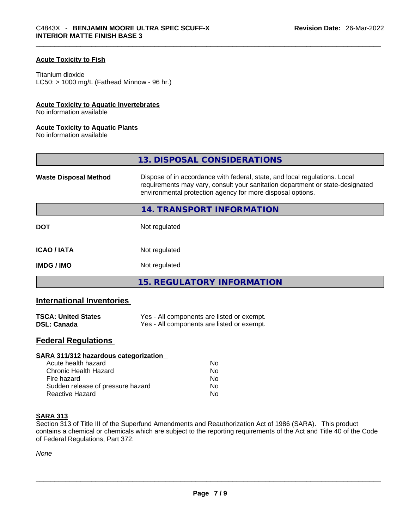# **Acute Toxicity to Fish**

#### Titanium dioxide

 $LCS0: > 1000$  mg/L (Fathead Minnow - 96 hr.)

#### **Acute Toxicity to Aquatic Invertebrates**

No information available

#### **Acute Toxicity to Aquatic Plants**

No information available

|                              | 13. DISPOSAL CONSIDERATIONS                                                                                                                                                                                               |  |
|------------------------------|---------------------------------------------------------------------------------------------------------------------------------------------------------------------------------------------------------------------------|--|
| <b>Waste Disposal Method</b> | Dispose of in accordance with federal, state, and local regulations. Local<br>requirements may vary, consult your sanitation department or state-designated<br>environmental protection agency for more disposal options. |  |
|                              | 14. TRANSPORT INFORMATION                                                                                                                                                                                                 |  |
| <b>DOT</b>                   | Not regulated                                                                                                                                                                                                             |  |
| <b>ICAO/IATA</b>             | Not regulated                                                                                                                                                                                                             |  |
| <b>IMDG / IMO</b>            | Not regulated                                                                                                                                                                                                             |  |
|                              | 15. REGULATORY INFORMATION                                                                                                                                                                                                |  |

# **International Inventories**

| <b>TSCA: United States</b> | Yes - All components are listed or exempt. |
|----------------------------|--------------------------------------------|
| <b>DSL: Canada</b>         | Yes - All components are listed or exempt. |

# **Federal Regulations**

| Nο             |  |
|----------------|--|
| No             |  |
| N <sub>0</sub> |  |
| No             |  |
| No             |  |
|                |  |

#### **SARA 313**

Section 313 of Title III of the Superfund Amendments and Reauthorization Act of 1986 (SARA). This product contains a chemical or chemicals which are subject to the reporting requirements of the Act and Title 40 of the Code of Federal Regulations, Part 372:

*None*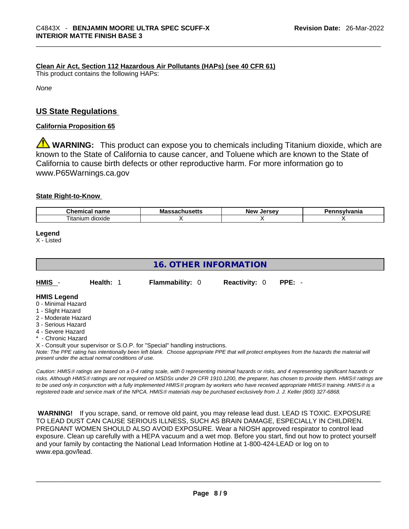# **Clean Air Act,Section 112 Hazardous Air Pollutants (HAPs) (see 40 CFR 61)**

This product contains the following HAPs:

*None*

# **US State Regulations**

### **California Proposition 65**

**WARNING:** This product can expose you to chemicals including Titanium dioxide, which are known to the State of California to cause cancer, and Toluene which are known to the State of California to cause birth defects or other reproductive harm. For more information go to www.P65Warnings.ca.gov

#### **State Right-to-Know**

| $\sim$<br>$  -$<br>--<br><br>чанк              | Мô | lorcov<br>Nev | -----------<br>нс |
|------------------------------------------------|----|---------------|-------------------|
| $\overline{\phantom{a}}$<br>dioxide<br>ıtanıum |    |               |                   |

**Legend**

X - Listed

# **16. OTHER INFORMATION**

| HMIS                    | Health: 1 | <b>Flammability: 0</b> | <b>Reactivity: 0</b> | PPE: - |
|-------------------------|-----------|------------------------|----------------------|--------|
| <b>HMIS Legend</b><br>. |           |                        |                      |        |

- 0 Minimal Hazard
- 1 Slight Hazard
- 2 Moderate Hazard
- 3 Serious Hazard
- 4 Severe Hazard
- \* Chronic Hazard

X - Consult your supervisor or S.O.P. for "Special" handling instructions.

Note: The PPE rating has intentionally been left blank. Choose appropriate PPE that will protect employees from the hazards the material will *present under the actual normal conditions of use.* 

*Caution: HMISÒ ratings are based on a 0-4 rating scale, with 0 representing minimal hazards or risks, and 4 representing significant hazards or risks. Although HMISÒ ratings are not required on MSDSs under 29 CFR 1910.1200, the preparer, has chosen to provide them. HMISÒ ratings are to be used only in conjunction with a fully implemented HMISÒ program by workers who have received appropriate HMISÒ training. HMISÒ is a registered trade and service mark of the NPCA. HMISÒ materials may be purchased exclusively from J. J. Keller (800) 327-6868.* 

 **WARNING!** If you scrape, sand, or remove old paint, you may release lead dust. LEAD IS TOXIC. EXPOSURE TO LEAD DUST CAN CAUSE SERIOUS ILLNESS, SUCH AS BRAIN DAMAGE, ESPECIALLY IN CHILDREN. PREGNANT WOMEN SHOULD ALSO AVOID EXPOSURE.Wear a NIOSH approved respirator to control lead exposure. Clean up carefully with a HEPA vacuum and a wet mop. Before you start, find out how to protect yourself and your family by contacting the National Lead Information Hotline at 1-800-424-LEAD or log on to www.epa.gov/lead.